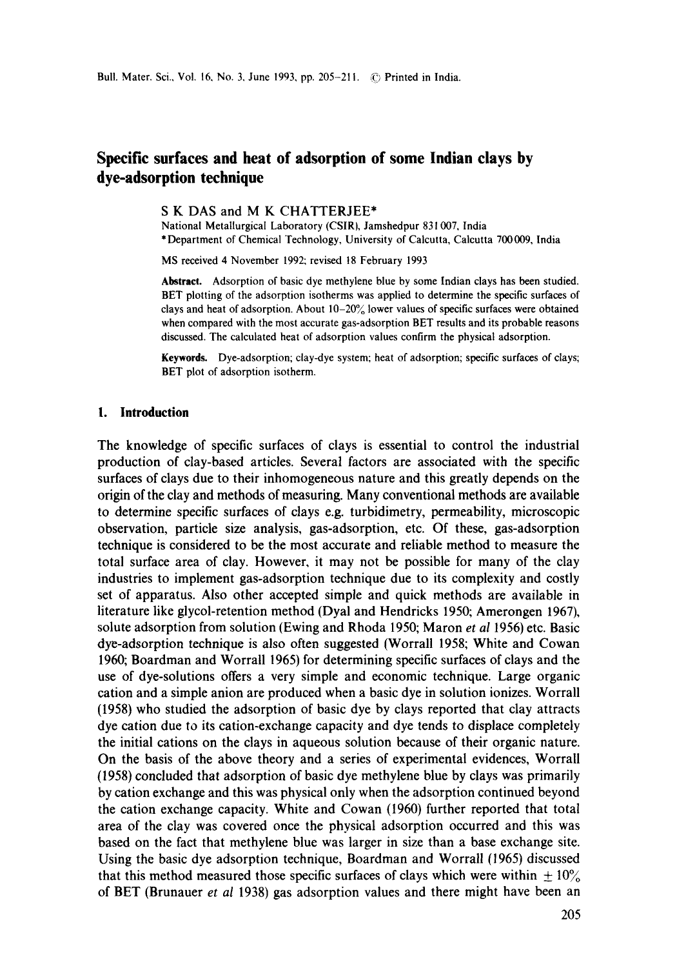# **Specific surfaces and heat of adsorption of some Indian clays by dye-adsorption technique**

**S K** DAS and **M K** CHATTERJEE\*

National Metallurgical Laboratory (CSIR), Jamshedpur 831 007, India \* Department of Chemical Technology, University of Calcutta, Calcutta 700009, India

MS received 4 November 1992; revised 18 February 1993

**Abstract.** Adsorption of basic dye methylene blue by some Indian clays has been studied. BET plotting of the adsorption isotherms was applied to determine the specific surfaces of clays and heat of adsorption. About  $10-20\%$  lower values of specific surfaces were obtained when compared with the most accurate gas-adsorption BET results and its probable reasons discussed. The calculated heat of adsorption values confirm the physical adsorption.

**Keywords.** Dye-adsorption; clay-dye system; heat of adsorption; specific surfaces of clays; BET plot of adsorption isotherm.

# **1. Introduction**

The knowledge of specific surfaces of clays is essential to control the industrial production of clay-based articles. Several factors are associated with the specific surfaces of clays due to their inhomogeneous nature and this greatly depends on the origin of the clay and methods of measuring. Many conventional methods are available to determine specific surfaces of clays e.g. turbidimetry, permeability, microscopic observation, particle size analysis, gas-adsorption, etc. Of these, gas-adsorption technique is considered to be the most accurate and reliable method to measure the total surface area of clay. However, it may not be possible for many of the clay industries to implement gas-adsorption technique due to its complexity and costly set of apparatus. Also other accepted simple and quick methods are available in literature like glycol-retention method (Dyal and Hendricks 1950; Amerongen 1967), solute adsorption from solution (Ewing and Rhoda 1950; Maron *et al* 1956) etc. Basic dye-adsorption technique is also often suggested (Worrall 1958; White and Cowan 1960; Boardman and Worrall 1965) for determining specific surfaces of clays and the use of dye-solutions offers a very simple and economic technique. Large organic cation and a simple anion are produced when a basic dye in solution ionizes. Worrall (1958) who studied the adsorption of basic dye by clays reported that clay attracts dye cation due to its cation-exchange capacity and dye tends to displace completely the initial cations on the clays in aqueous solution because of their organic nature. On the basis of the above theory and a series of experimental evidences, WorraU (1958) concluded that adsorption of basic dye methylene blue by clays was primarily by cation exchange and this was physical only when the adsorption continued beyond the cation exchange capacity. White and Cowan (1960) further reported that total area of the clay was covered once the physical adsorption occurred and this was based on the fact that methylene blue was larger in size than a base exchange site. Using the basic dye adsorption technique, Boardman and Worrall (1965) discussed that this method measured those specific surfaces of clays which were within  $\pm 10\%$ of BET (Brunauer *et al* 1938) gas adsorption values and there might have been an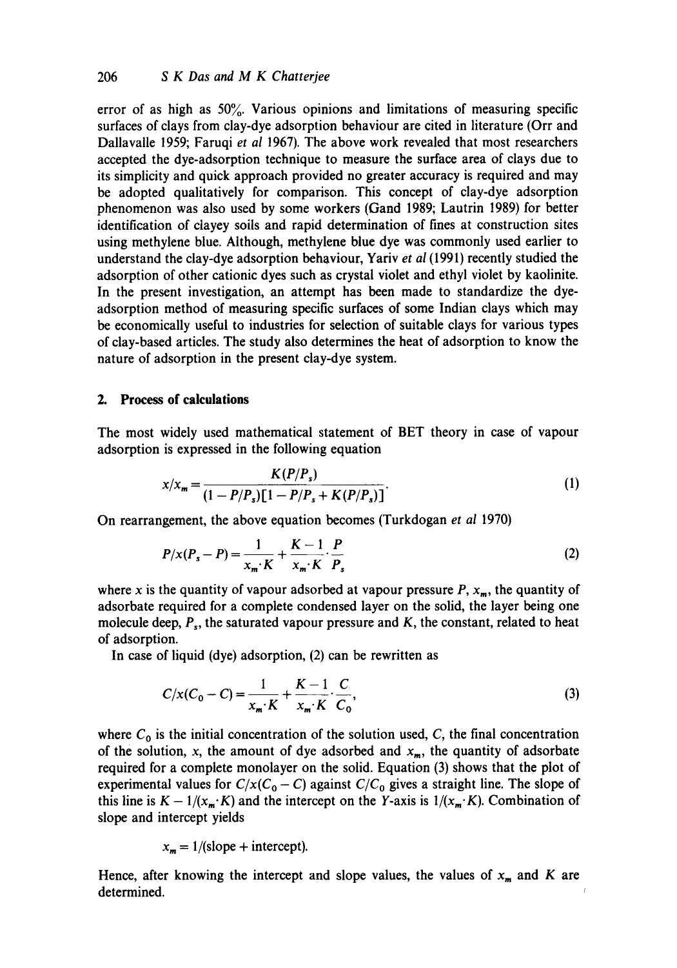error of as high as  $50\%$ . Various opinions and limitations of measuring specific surfaces of clays from clay-dye adsorption behaviour are cited in literature (Orr and Dallavalle 1959; Faruqi *et al* 1967). The above work revealed that most researchers accepted the dye-adsorption technique to measure the surface area of clays due to its simplicity and quick approach provided no greater accuracy is required and may be adopted qualitatively for comparison. This concept of clay-dye adsorption phenomenon was also used by some workers (Gand 1989; Lautrin 1989) for better identification of clayey soils and rapid determination of fines at construction sites using methylene blue. Although, methylene blue dye was commonly used earlier to understand the clay-dye adsorption behaviour, Yariv *et al* (1991) recently studied the adsorption of other cationic dyes such as crystal violet and ethyl violet by kaolinite. In the present investigation, an attempt has been made to standardize the dyeadsorption method of measuring specific surfaces of some Indian clays which may be economically useful to industries for selection of suitable clays for various types of clay-based articles. The study also determines the heat of adsorption to know the nature of adsorption in the present clay-dye system.

# **2. Process of calculations**

The most widely used mathematical statement of BET theory in case of vapour adsorption is expressed in the following equation

$$
x/x_m = \frac{K(P/P_s)}{(1 - P/P_s)[1 - P/P_s + K(P/P_s)]}.
$$
 (1)

On rearrangement, the above equation becomes (Turkdogan *et al* 1970)

$$
P/x(P_s - P) = \frac{1}{x_m \cdot K} + \frac{K - 1}{x_m \cdot K} \cdot \frac{P}{P_s}
$$
 (2)

where x is the quantity of vapour adsorbed at vapour pressure  $P$ ,  $x_m$ , the quantity of adsorbate required for a complete condensed layer on the solid, the layer being one molecule deep,  $P_s$ , the saturated vapour pressure and  $K$ , the constant, related to heat of adsorption.

In case of liquid (dye) adsorption, (2) can be rewritten as

$$
C/x(C_0 - C) = \frac{1}{x_m \cdot K} + \frac{K - 1}{x_m \cdot K} \cdot \frac{C}{C_0},
$$
\n(3)

where  $C_0$  is the initial concentration of the solution used, C, the final concentration of the solution, x, the amount of dye adsorbed and  $x_m$ , the quantity of adsorbate required for a complete monolayer on the solid. Equation (3) shows that the plot of experimental values for  $C/x(C_0 - C)$  against  $C/C_0$  gives a straight line. The slope of this line is  $K - 1/(x_m \cdot K)$  and the intercept on the Y-axis is  $1/(x_m \cdot K)$ . Combination of slope and intercept yields

$$
x_m = 1/(slope + intercept).
$$

Hence, after knowing the intercept and slope values, the values of  $x_m$  and K are determined.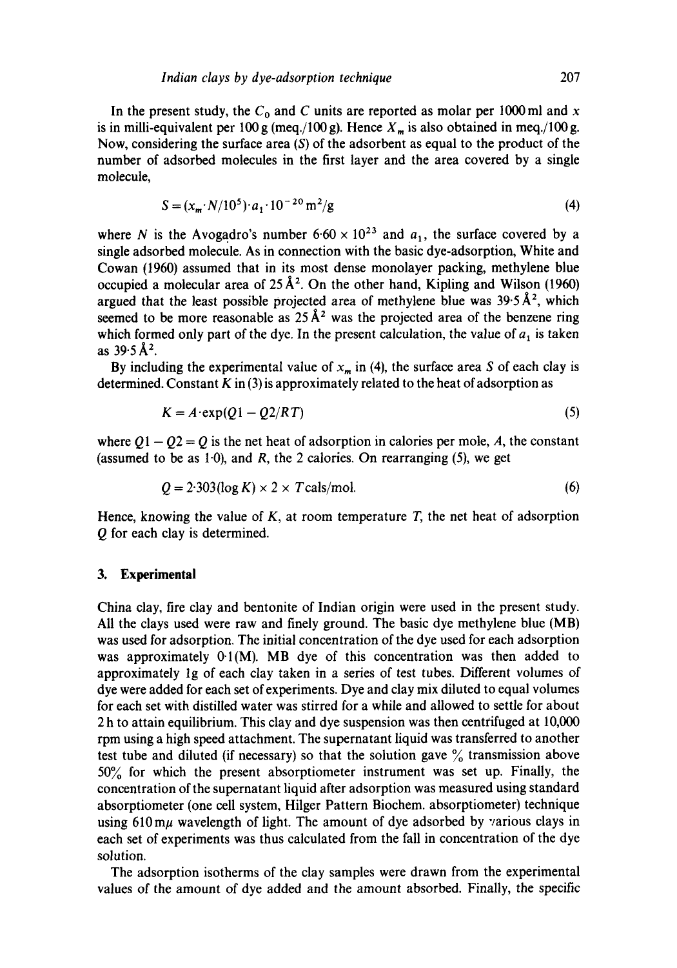In the present study, the  $C_0$  and C units are reported as molar per 1000 ml and x is in milli-equivalent per 100 g (meq./100 g). Hence  $X_m$  is also obtained in meq./100 g. Now, considering the surface area  $(S)$  of the adsorbent as equal to the product of the number of adsorbed molecules in the first layer and the area covered by a single molecule,

$$
S = (x_m \cdot N/10^5) \cdot a_1 \cdot 10^{-20} \,\mathrm{m}^2/\mathrm{g} \tag{4}
$$

where N is the Avogadro's number  $6.60 \times 10^{23}$  and  $a_1$ , the surface covered by a single adsorbed molecule. As in connection with the basic dye-adsorption, White and Cowan (1960) assumed that in its most dense monolayer packing, methylene blue occupied a molecular area of  $25 \text{ Å}^2$ . On the other hand, Kipling and Wilson (1960) argued that the least possible projected area of methylene blue was  $39.5~\text{\AA}^2$ , which seemed to be more reasonable as  $25 \text{ Å}^2$  was the projected area of the benzene ring which formed only part of the dye. In the present calculation, the value of  $a_1$  is taken as  $39.5~\AA^2$ .

By including the experimental value of  $x_m$  in (4), the surface area S of each clay is determined. Constant  $K$  in (3) is approximately related to the heat of adsorption as

$$
K = A \cdot \exp(Q1 - Q2/RT) \tag{5}
$$

where  $Q1 - Q2 = Q$  is the net heat of adsorption in calories per mole, A, the constant (assumed to be as 1.0), and R, the 2 calories. On rearranging  $(5)$ , we get

$$
Q = 2.303(\log K) \times 2 \times T \text{ calls/mol}.\tag{6}
$$

Hence, knowing the value of  $K$ , at room temperature  $T$ , the net heat of adsorption Q for each clay is determined.

#### **3. Experimental**

China clay, fire clay and bentonite of Indian origin were used in the present study. All the clays used were raw and finely ground. The basic dye methylene blue (MB) was used for adsorption. The initial concentration of the dye used for each adsorption was approximately  $0.1(M)$ . MB dye of this concentration was then added to approximately lg of each clay taken in a series of test tubes. Different volumes of dye were added for each set of experiments. Dye and clay mix diluted to equal volumes for each set with distilled water was stirred for a while and allowed to settle for about 2 h to attain equilibrium. This clay and dye suspension was then centrifuged at 10,000 rpm using a high speed attachment. The supernatant liquid was transferred to another test tube and diluted (if necessary) so that the solution gave  $\%$  transmission above 50% for which the present absorptiometer instrument was set up. Finally, the concentration of the supernatant liquid after adsorption was measured using standard absorptiometer (one cell system, Hilger Pattern Biochem. absorptiometer) technique using  $610 \text{ m}$ u wavelength of light. The amount of dye adsorbed by various clays in each set of experiments was thus calculated from the fall in concentration of the dye solution.

The adsorption isotherms of the clay samples were drawn from the experimental values of the amount of dye added and the amount absorbed. Finally, the specific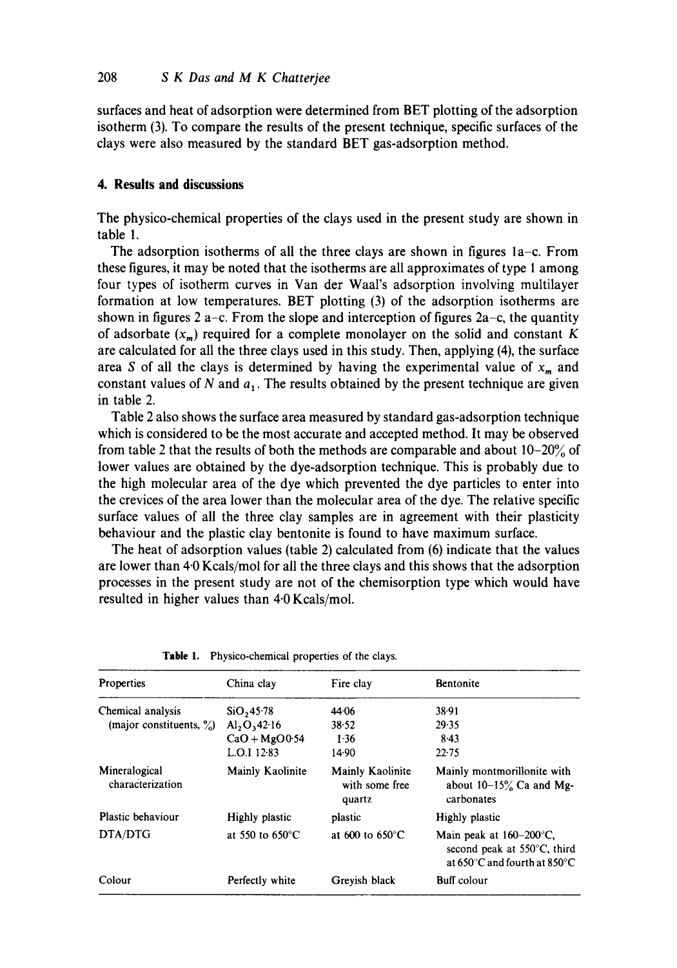surfaces and heat of adsorption were determined from BET plotting of the adsorption isotherm (3). To compare the results of the present technique, specific surfaces of the clays were also measured by the standard BET gas-adsorption method.

# **4. Results and discussions**

The physico-chemical properties of the clays used in the present study are shown in table 1.

The adsorption isotherms of all the three clays are shown in figures la-c. From these figures, it may be noted that the isotherms are all approximates of type 1 among four types of isotherm curves in Van der Waal's adsorption involving multilayer formation at low temperatures. BET plotting (3) of the adsorption isotherms are shown in figures 2 a-c. From the slope and interception of figures  $2a-c$ , the quantity of adsorbate  $(x_m)$  required for a complete monolayer on the solid and constant K are calculated for all the three clays used in this study. Then, applying (4), the surface area S of all the clays is determined by having the experimental value of  $x_m$  and constant values of  $N$  and  $a_1$ . The results obtained by the present technique are given in table 2.

Table 2 also shows the surface area measured by standard gas-adsorption technique which is considered to be the most accurate and accepted method. It may be observed from table 2 that the results of both the methods are comparable and about 10-20% of lower values are obtained by the dye-adsorption technique. This is probably due to the high molecular area of the dye which prevented the dye particles to enter into the crevices of the area lower than the molecular area of the dye. The relative specific surface values of all the three clay samples are in agreement with their plasticity behaviour and the plastic clay bentonite is found to have maximum surface.

The heat of adsorption values (table 2) calculated from (6) indicate that the values are lower than 4.0 Kcals/mol for all the three clays and this shows that the adsorption processes in the present study are not of the chemisorption type which would have resulted in higher values than 4-0 Kcals/mol.

| <b>Properties</b>                    | China clay                | Fire clay                                    | Bentonite                                                                                                            |
|--------------------------------------|---------------------------|----------------------------------------------|----------------------------------------------------------------------------------------------------------------------|
| Chemical analysis                    | SiO,45.78                 | 44 06                                        | 38.91                                                                                                                |
| (major constituents, $\frac{9}{6}$ ) | $Al_2O_342.16$            | 38.52                                        | 29.35                                                                                                                |
|                                      | $CaO + MgOO 54$           | 1.36                                         | 8.43                                                                                                                 |
|                                      | L.O.I 12-83               | 14.90                                        | $22 - 75$                                                                                                            |
| Mineralogical<br>characterization    | Mainly Kaolinite          | Mainly Kaolinite<br>with some free<br>quartz | Mainly montmorillonite with<br>about $10-15\%$ Ca and Mg-<br>carbonates                                              |
| Plastic behaviour                    | Highly plastic            | plastic                                      | Highly plastic                                                                                                       |
| DTA/DTG                              | at 550 to $650^{\circ}$ C | at $600$ to $650^{\circ}$ C                  | Main peak at $160-200^{\circ}$ C,<br>second peak at 550°C, third<br>at $650^{\circ}$ C and fourth at $850^{\circ}$ C |
| Colour                               | Perfectly white           | Greyish black                                | <b>Buff</b> colour                                                                                                   |

|  | Table 1. Physico-chemical properties of the clays. |
|--|----------------------------------------------------|
|--|----------------------------------------------------|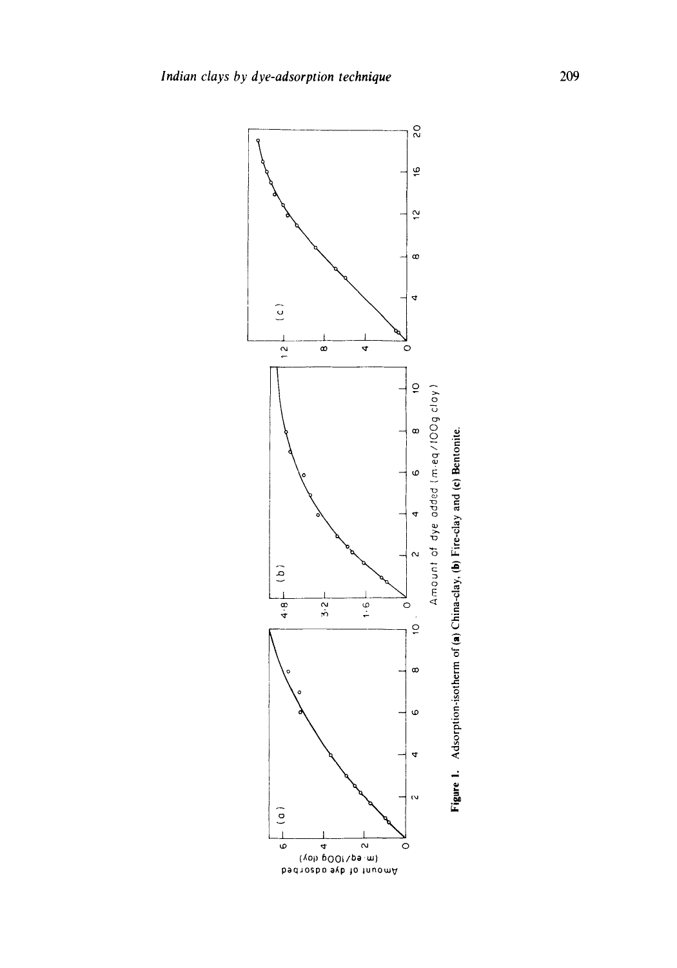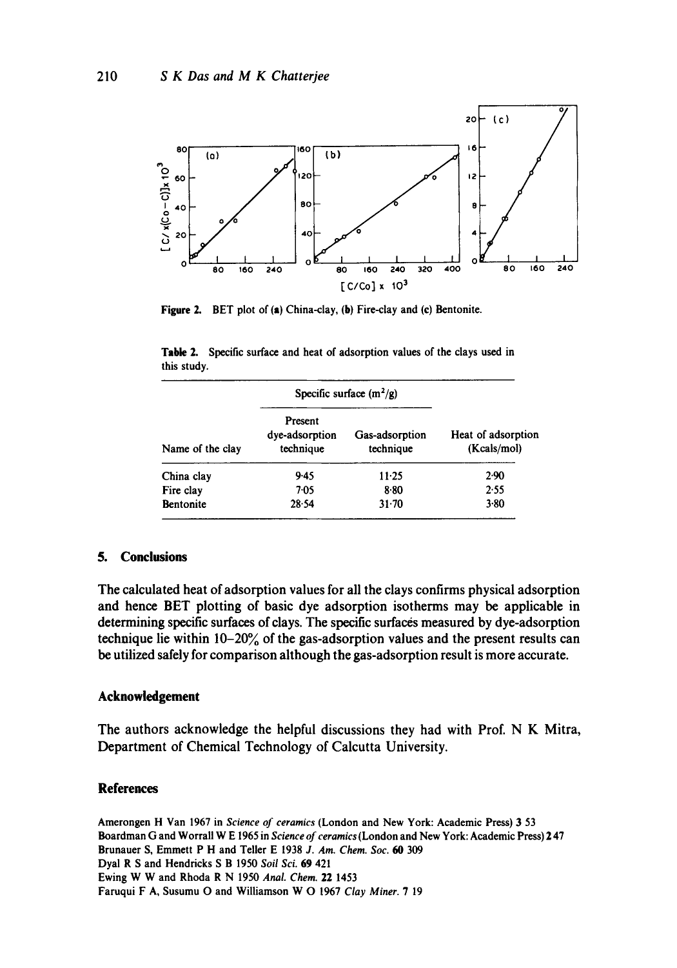

**Figure 2.** BET plot of (a) China-clay, (b) Fire-clay and (c) Bentonite.

| Name of the clay | Specific surface $(m^2/g)$             |                             |                                   |
|------------------|----------------------------------------|-----------------------------|-----------------------------------|
|                  | Present<br>dye-adsorption<br>technique | Gas-adsorption<br>technique | Heat of adsorption<br>(Kcals/mol) |
| China clay       | 9.45                                   | 11.25                       | 2.90                              |
| Fire clay        | $7-05$                                 | 8.80                        | 2.55                              |
| <b>Bentonite</b> | 28.54                                  | $31 - 70$                   | $3 - 80$                          |

**Table 2. Specific surface and heat** of adsorption values of the clays used in **this study.** 

# **5. Conclusions**

**The calculated heat of adsorption values for all the clays confirms physical adsorption and hence BET plotting of basic dye adsorption isotherms may be applicable in determining specific surfaces of clays. The specific surfaces measured by dye-adsorption technique lie within 10-20% of the gas-adsorption values and the present results can be utilized safely for comparison although the gas-adsorption result is more accurate.** 

# **Acknowledgement**

**The authors acknowledge the helpful discussions they had with Prof. N K Mitra, Department of Chemical Technology of Calcutta University.** 

## **References**

Amerongen H Van 1967 in *Science of ceramics* (London and New York: Academic Press) 3 53 Boardman G and Worrall W E 1965 in *Science of ceramics* (London and New York: Academic Press) 2 47 **Brunauer** S, Emmett P H and Teller E 1938 *J. Am, Chem. Soc. 60 309*  Dyal R S and Hendricks S B 1950 *Soil Sci.* 69 421 Ewing W W and Rhoda R N 1950 *Anal. Chem.* 22 1453 **Faruqui** F A, Susumu O and Williamson W O 1967 *Clay Miner.* 7 19